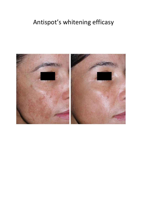# Antispot's whitening efficasy

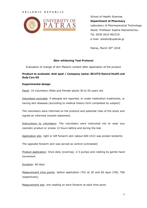# H E L L E N I C R E P U B L I C



School of Health Sciences **Department of Pharmacy** Laboratory of Pharmaceutical Technology Assist. Professor Sophia Hatziantoniou Tel. 0030 2610 962319 e-mail: sohatzi@upatras.gr

Patras, March 30<sup>th</sup> 2018

## **Skin whitening Test Protocol**

Evaluation of change of skin Melanin content after application of the product

# **Product to evaluate: Anti spot / Company name: BELVITA Natural Health and Body Care IKE**

#### **Experimental design**

Panel: 10 volunteers (Male and Female adults 30 to 55 years old.

Volunteers excluded: if allergies are reported, or under medication treatments, or having skin diseases (according to medical history form completed by subject).

The volunteers were informed on the protocol and potential risks of the study and signed an informed consent statement.

Instructions to volunteers: The volunteers were instructed not to wear any cosmetic product or smoke 12 hours before and during the test

Application site: right or left forearm skin (about 600 cm2) was picked randomly

The opposite forearm skin was served as control (untreated)

Product application: Once daily (evening). 2-3 pumps and rubbing by gentle hand movement

Duration: 60 days

Measurement time points: before application (T0) at 30 and 60 days (T60, T60 respectively).

Measurement site: one reading on each forearm at each time point.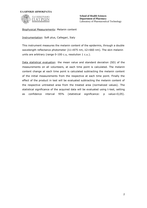

**School of Health Sciences Department of Pharmacy** Laboratory of Pharmaceutical Technology

Biophysical Measurements: Melanin content

Instrumentation: Soft plus, Callegari, Italy

This instrument measures the melanin content of the epidermis, through a double wavelength reflectance photometer (λ1=875 nm, λ2=660 nm). The skin melanin units are arbitrary (range 0-100 c.u, resolution 1 c.u.).

Data statistical evaluation: the mean value and standard deviation (SD) of the measurements on all volunteers, at each time point is calculated. The melanin content change at each time point is calculated subtracting the melanin content of the initial measurements from the respective at each time point. Finally the effect of the product in test will be evaluated subtracting the melanin content of the respective untreated area from the treated area (normalized values). The statistical significance of the acquired data will be evaluated using t-test, setting as confidence interval 95% (statistical significance: p value<0,05).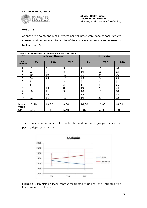

# **RESULTS**

At each time point, one measurement per volunteer were done at each forearm (treated and untreated). The results of the skin Melanin test are summarized on tables 1 and 2.

| Table 1: Skin Melanin of treated and untreated areas |                     |                |            |                  |            |            |  |
|------------------------------------------------------|---------------------|----------------|------------|------------------|------------|------------|--|
| <b>Time</b>                                          | Anti spot (treated) |                |            | <b>Untreated</b> |            |            |  |
| a/a                                                  |                     |                |            |                  |            |            |  |
| <b>Volunteer</b>                                     | T <sub>0</sub>      | <b>T30</b>     | <b>T60</b> | T <sub>o</sub>   | <b>T30</b> | <b>T60</b> |  |
| 1                                                    | 12                  | 7              | 5          | 11               | 15         | 16         |  |
| $\overline{2}$                                       | 11                  | $\overline{7}$ | 8          | 10               | 11         | 13         |  |
| 3                                                    | 20                  | 19             | 16         | 21               | 24         | 26         |  |
| 4                                                    | 24                  | 23             | 18         | 23               | 24         | 25         |  |
| 5                                                    | 6                   | 4              | 3          | 9                | 8          | 9          |  |
| 6                                                    | 6                   | 4              | 3          | 6                | 8          | 11         |  |
| $\overline{\mathbf{z}}$                              | 11                  | 10             | 8          | 19               | 20         | 24         |  |
| 8                                                    | 10                  | 7              | 5          | 10               | 13         | 18         |  |
| 9                                                    | 17                  | 15             | 14         | 15               | 17         | 18         |  |
| 10                                                   | 12                  | 11             | 10         | 19               | 20         | 22         |  |
|                                                      |                     |                |            |                  |            |            |  |
| <b>Mean</b><br>value                                 | 12,90               | 10,70          | 9,00       | 14,30            | 16,00      | 18,20      |  |
| <b>SD</b>                                            | 5,80                | 6,41           | 5,40       | 5,87             | 6,00       | 6,00       |  |

The melanin content mean values of treated and untreated groups at each time point is depicted on Fig. 1.



**Figure 1:** Skin Melanin Mean content for treated (blue line) and untreated (red line) groups of volunteers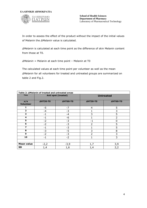

In order to assess the effect of the product without the impact of the initial values of Melanin the *ΔMelanin* value is calculated.

*ΔMelanin* is calculated at each time point as the difference of skin Melanin content from those at T0.

*ΔMelanin* = Melanin at each time point – Melanin at T0

The calculated values at each time point per volunteer as well as the mean *ΔMelanin* for all volunteers for treated and untreated groups are summarized on table 2 and Fig.2.

| Table 2: AMelanin of treated and untreated areas |                 |                     |                  |                 |  |  |
|--------------------------------------------------|-----------------|---------------------|------------------|-----------------|--|--|
| <b>Time</b>                                      |                 | Anti spot (treated) | <b>Untreated</b> |                 |  |  |
| a/a<br><b>Volunteer</b>                          | <b>4HT30-T0</b> | <b>4HT60-T0</b>     | <b>4HT30-T0</b>  | <b>4HT60-T0</b> |  |  |
| 1                                                | $-5$            | $-7$                | 4                | 5               |  |  |
| $\overline{\mathbf{2}}$                          | $-4$            | $-3$                |                  | 3               |  |  |
| 3                                                | $-1$            | $-4$                | 3                | 5               |  |  |
| 4                                                | $-1$            | -6                  |                  | $\overline{2}$  |  |  |
| 5                                                | $-2$            | $-3$                | $-1$             | 0               |  |  |
| 6                                                | $-2$            | $-3$                | $\overline{2}$   | 5               |  |  |
| $\overline{\mathbf{z}}$                          | $-1$            | $-3$                |                  | 5               |  |  |
| 8                                                | $-3$            | $-5$                | 3                | 8               |  |  |
| 9                                                | $-2$            | $-3$                | $\overline{2}$   | 3               |  |  |
| 10                                               | $-1$            | $-2$                | 1                | 3               |  |  |
|                                                  |                 |                     |                  |                 |  |  |
| <b>Mean value</b>                                | $-2,2$          | $-3,9$              | 1,7              | 3,9             |  |  |
| <b>SD</b>                                        | 1,4             | 1,6                 | 1,4              | 2,2             |  |  |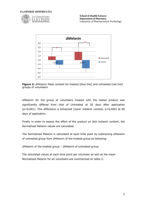



**Figure 2:** *Δ*Melanin Mean content for treated (blue line) and untreated (red line) groups of volunteers

ΔMelanin for the group of volunteers treated with the tested product was significantly differed from that of Untreated at 30 days after application (p<0,001). This difference is enhanced (lower melanin content, p<0,000) at 60 days of application.

Finally in order to assess the effect of the product on skin melanin content, the Normalized Melanin values are calculated.

The Normalized Melanin is calculated at each time point by subtracting *Δ*Melanin of untreated group from *Δ*Melanin of the treated group as following:

*Δ*Melanin of the treated group – *Δ*Melanin of untreated group.

The calculated values at each time point per volunteer as well as the mean Normalized Melanin for all volunteers are summarized on table 3.